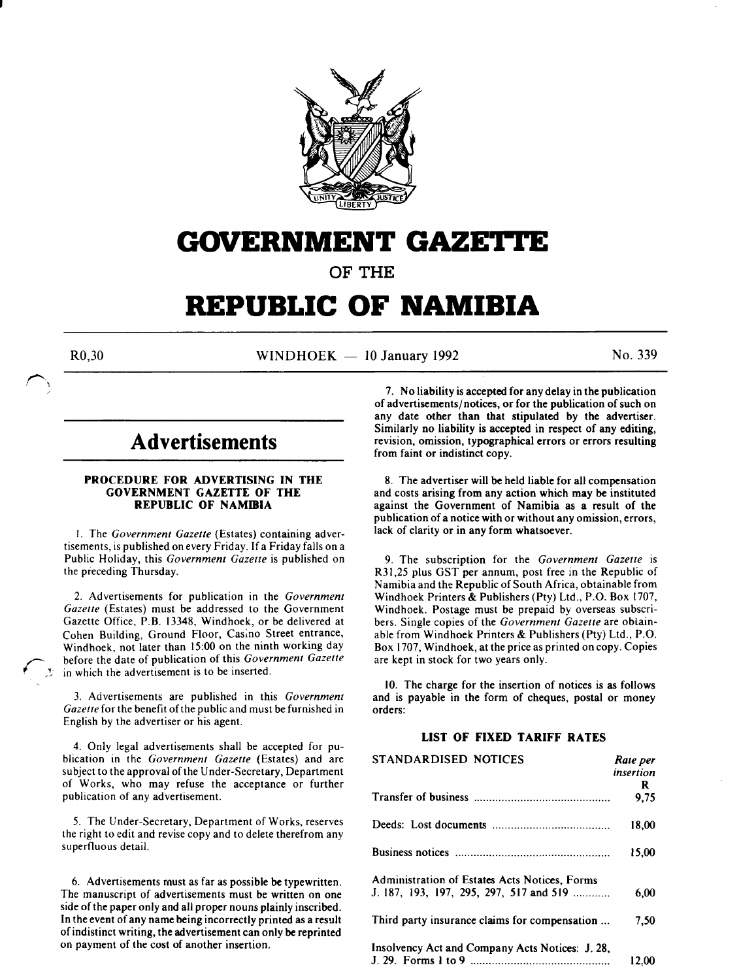

## **GOVERNMENT GAZETTE**

OF THE

# **REPUBLIC OF NAMIBIA**

 $R0,30$  WINDHOEK - 10 January 1992 No. 339

### **Advertisements**

#### PROCEDURE FOR ADVERTISING IN THE GOVERNMENT GAZETTE OF THE REPUBLIC OF NAMIBIA

I. The *Government Gazette* (Estates) containing advertisements, is published on every Friday. If a Friday falls on a Public Holiday, this *Government Gazette* is published on the preceding Thursday.

2. Advertisements for publication in the *Government Gazette* (Estates) must be addressed to the Government Gazette Office, P.B. 13348, Windhoek, or be delivered at Cohen Building, Ground Floor, Cas;no Street entrance, Windhoek, not later than 15:00 on the ninth working day before the date of publication of this *Government Gazette*   $\ell \rightarrow \ell$  in which the advertisement is to be inserted.

> 3. Advertisements are published in this *Government Gazette* for the benefit of the public and must be furnished in English by the advertiser or his agent.

> 4. Only legal advertisements shall be accepted for publication in the *Government Gazette* (Estates) and are subject to the approval of the Under-Secretary, Department of Works, who may refuse the acceptance or further publication of any advertisement.

> 5. The Under-Secretary, Department of Works, reserves the right to edit and revise copy and to delete therefrom any superfluous detail.

> 6. Advertisements must as far as possible be typewritten. The manuscript of advertisements must be written on one side of the paper only and all proper nouns plainly inscribed. In the event of any name being incorrectly printed as a result of indistinct writing, the advertisement can only be reprinted on payment of the cost of another insertion.

7. No liability is accepted for any delay in the publication of advertisements/notices, or for the publication of such on any date other than that stipulated by the advertiser. Similarly no liability is accepted in respect of any editing, revision, omission, typographical errors or errors resulting from faint or indistinct copy.

8. The advertiser will be held liable for all compensation and costs arising from any action which may be instituted against the Government of Namibia as a result of the publication of a notice with or without any omission, errors, lack of clarity or in any form whatsoever.

9. The subscription for the *Government Gazette* is R31 ,25 plus GST per annum, post free in the Republic of Namibia and the Republic of South Africa, obtainable from Windhoek Printers & Publishers (Pty) Ltd., P.O. Box 1707, Windhoek. Postage must be prepaid by overseas subscribers. Single copies of the *Government Gazette* are obtainable from Windhoek Printers & Publishers (Pty) Ltd., P.O. Box 1707, Windhoek, at the price as printed on copy. Copies are kept in stock for two years only.

10. The charge for the insertion of notices is as follows and is payable in the form of cheques, postal or money orders:

### LIST OF FIXED TARIFF RATES

| STANDARDISED NOTICES                                                                     | Rate per<br>insertion<br>R |
|------------------------------------------------------------------------------------------|----------------------------|
|                                                                                          | 9.75                       |
|                                                                                          | 18.00                      |
|                                                                                          | 15.00                      |
| Administration of Estates Acts Notices, Forms<br>J. 187, 193, 197, 295, 297, 517 and 519 | 6.00                       |
| Third party insurance claims for compensation                                            | 7.50                       |
| Insolvency Act and Company Acts Notices: J. 28.                                          | 12.00                      |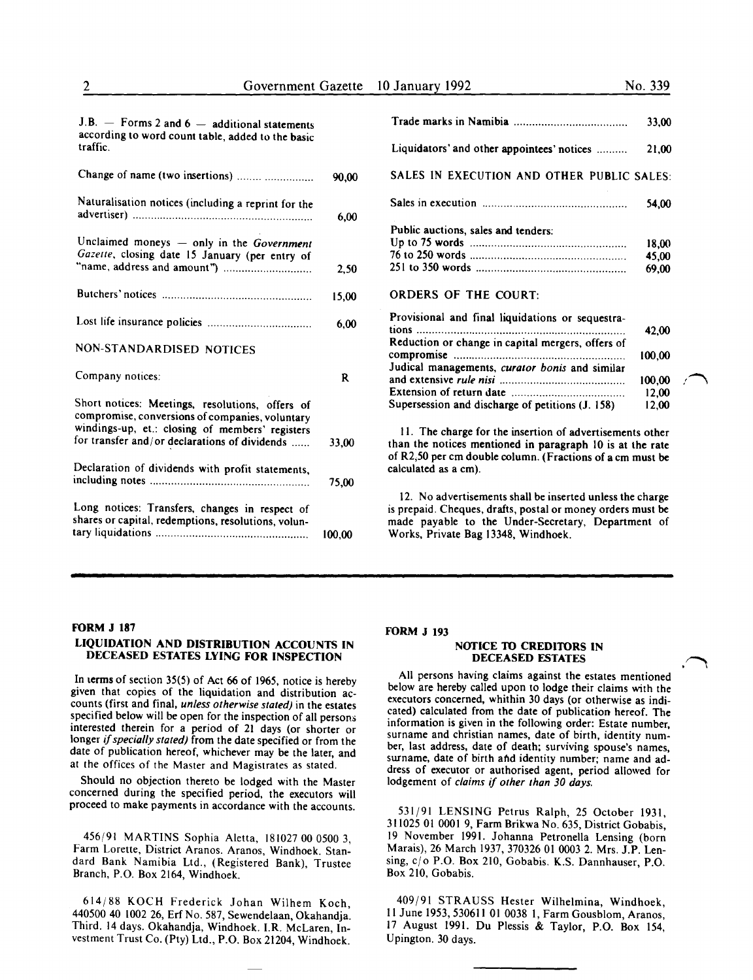| $J.B.$ - Forms 2 and 6 - additional statements<br>according to word count table, added to the basic   |        |                                                                                                                                                                                                                       | 33,00          |
|-------------------------------------------------------------------------------------------------------|--------|-----------------------------------------------------------------------------------------------------------------------------------------------------------------------------------------------------------------------|----------------|
| traffic.                                                                                              |        | Liquidators' and other appointees' notices                                                                                                                                                                            | 21,00          |
| Change of name (two insertions)                                                                       | 90.00  | SALES IN EXECUTION AND OTHER PUBLIC SALES:                                                                                                                                                                            |                |
| Naturalisation notices (including a reprint for the                                                   | 6,00   |                                                                                                                                                                                                                       | 54,00          |
|                                                                                                       |        |                                                                                                                                                                                                                       |                |
|                                                                                                       |        | Public auctions, sales and tenders:                                                                                                                                                                                   |                |
| Unclaimed moneys - only in the Government<br>Gazette, closing date 15 January (per entry of           |        |                                                                                                                                                                                                                       | 18,00          |
|                                                                                                       |        |                                                                                                                                                                                                                       | 45,00          |
|                                                                                                       | 2,50   |                                                                                                                                                                                                                       | 69,00          |
|                                                                                                       | 15,00  | <b>ORDERS OF THE COURT:</b>                                                                                                                                                                                           |                |
|                                                                                                       | 6,00   | Provisional and final liquidations or sequestra-                                                                                                                                                                      | 42,00          |
| NON-STANDARDISED NOTICES                                                                              |        | Reduction or change in capital mergers, offers of                                                                                                                                                                     | 100,00         |
| Company notices:                                                                                      | R      | Judical managements, curator bonis and similar                                                                                                                                                                        | 100,00         |
| Short notices: Meetings, resolutions, offers of<br>compromise, conversions of companies, voluntary    |        | Supersession and discharge of petitions (J. 158)                                                                                                                                                                      | 12,00<br>12,00 |
| windings-up, et.: closing of members' registers<br>for transfer and/or declarations of dividends      | 33.00  | 11. The charge for the insertion of advertisements other<br>than the notices mentioned in paragraph 10 is at the rate<br>of R2,50 per cm double column. (Fractions of a cm must be                                    |                |
| Declaration of dividends with profit statements,                                                      | 75,00  | calculated as a cm).                                                                                                                                                                                                  |                |
| Long notices: Transfers, changes in respect of<br>shares or capital, redemptions, resolutions, volun- | 100,00 | 12. No advertisements shall be inserted unless the charge<br>is prepaid. Cheques, drafts, postal or money orders must be<br>made payable to the Under-Secretary, Department of<br>Works, Private Bag 13348, Windhoek. |                |
|                                                                                                       |        |                                                                                                                                                                                                                       |                |

#### FORM J 187 LIQUIDATION AND DISTRIBUTION ACCOUNTS IN DECEASED ESTATES LYING FOR INSPECTION

In terms of section 35(5) of Act 66 of 1965, notice is hereby given that copies of the liquidation and distribution accounts (first and final, *unless otherwise stated)* in the estates specified below will be open for the inspection of all persons interested therein for a period of 21 days (or shorter or longer *if specially stated)* from the date specified or from the date of publication hereof, whichever may be the later, and at the offices of the Master and Magistrates as stated.

Should no objection thereto be lodged with the Master concerned during the specified period, the executors will proceed to make payments in accordance with the accounts.

456/91 MARTINS Sophia Aletta, 181027 00 0500 3, Farm Lorette, District Aranos. Aranos, Windhoek. Standard Bank Namibia Ltd., (Registered Bank), Trustee Branch, P.O. Box 2164, Windhoek.

614/88 KOCH Frederick Johan Wilhem Koch, 440500 40 1002 26, Erf No. 587, Sewendelaan, Okahandja. Third. 14 days. Okahandja, Windhoek. I.R. McLaren, Investment Trust Co. (Pty) Ltd., P.O. Box 21204, Windhoek.

#### FORM J 193

#### NOTICE TO CREDITORS IN DECEASED ESTATES

All persons having claims against the estates mentioned below are hereby called upon to lodge their claims with the executors concerned, whithin 30 days (or otherwise as indicated) calculated from the date of publication hereof. The information is given in the following order: Estate number, surname and christian names, date of birth, identity number, last address, date of death; surviving spouse's names, surname, date of birth and identity number; name and address of executor or authorised agent, period allowed for lodgement of *claims* if *other than 30 days.* 

531/91 LENSING Petrus Ralph, 25 October 1931, 311025 OJ 0001 9, Farm Brikwa No. 635, District Gobabis, 19 November 1991. Johanna Petronella Lensing (born Marais), 26 March 1937, 370326 01 0003 2. Mrs. J.P. Lensing, c/o P.O. Box 210, Gobabis. K.S. Dannhauser, P.O. Box 210, Gobabis.

409/91 STRAUSS Hester Wilhelmina, Windhoek, II June 1953,530611 01 0038 I, Farm Gousblom, Aranos, 17 August 1991. Du Plessis & Taylor, P.O. Box 154, Upington. 30 days.